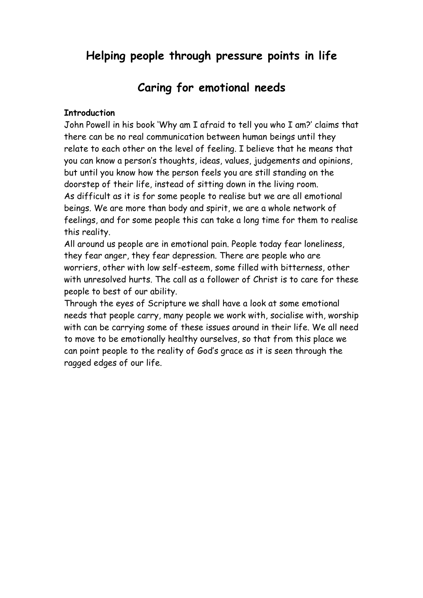# **Helping people through pressure points in life**

# **Caring for emotional needs**

#### **Introduction**

John Powell in his book 'Why am I afraid to tell you who I am?' claims that there can be no real communication between human beings until they relate to each other on the level of feeling. I believe that he means that you can know a person's thoughts, ideas, values, judgements and opinions, but until you know how the person feels you are still standing on the doorstep of their life, instead of sitting down in the living room. As difficult as it is for some people to realise but we are all emotional beings. We are more than body and spirit, we are a whole network of feelings, and for some people this can take a long time for them to realise this reality.

All around us people are in emotional pain. People today fear loneliness, they fear anger, they fear depression. There are people who are worriers, other with low self-esteem, some filled with bitterness, other with unresolved hurts. The call as a follower of Christ is to care for these people to best of our ability.

Through the eyes of Scripture we shall have a look at some emotional needs that people carry, many people we work with, socialise with, worship with can be carrying some of these issues around in their life. We all need to move to be emotionally healthy ourselves, so that from this place we can point people to the reality of God's grace as it is seen through the ragged edges of our life.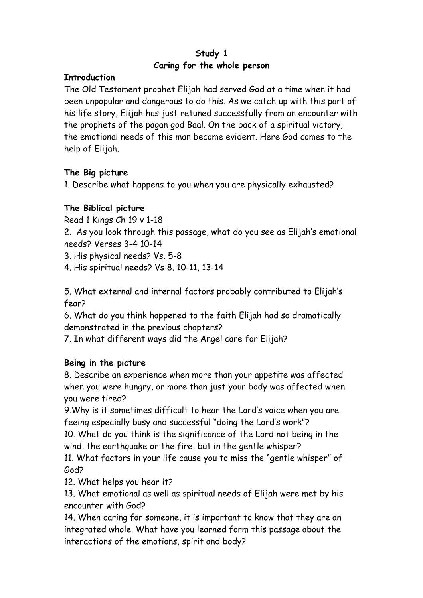# **Study 1 Caring for the whole person**

### **Introduction**

The Old Testament prophet Elijah had served God at a time when it had been unpopular and dangerous to do this. As we catch up with this part of his life story, Elijah has just retuned successfully from an encounter with the prophets of the pagan god Baal. On the back of a spiritual victory, the emotional needs of this man become evident. Here God comes to the help of Elijah.

# **The Big picture**

1. Describe what happens to you when you are physically exhausted?

# **The Biblical picture**

Read 1 Kings Ch 19 v 1-18

2. As you look through this passage, what do you see as Elijah's emotional needs? Verses 3-4 10-14

3. His physical needs? Vs. 5-8

4. His spiritual needs? Vs 8. 10-11, 13-14

5. What external and internal factors probably contributed to Elijah's fear?

6. What do you think happened to the faith Elijah had so dramatically demonstrated in the previous chapters?

7. In what different ways did the Angel care for Elijah?

# **Being in the picture**

8. Describe an experience when more than your appetite was affected when you were hungry, or more than just your body was affected when you were tired?

9.Why is it sometimes difficult to hear the Lord's voice when you are feeing especially busy and successful "doing the Lord's work"?

10. What do you think is the significance of the Lord not being in the wind, the earthquake or the fire, but in the gentle whisper?

11. What factors in your life cause you to miss the "gentle whisper" of God?

12. What helps you hear it?

13. What emotional as well as spiritual needs of Elijah were met by his encounter with God?

14. When caring for someone, it is important to know that they are an integrated whole. What have you learned form this passage about the interactions of the emotions, spirit and body?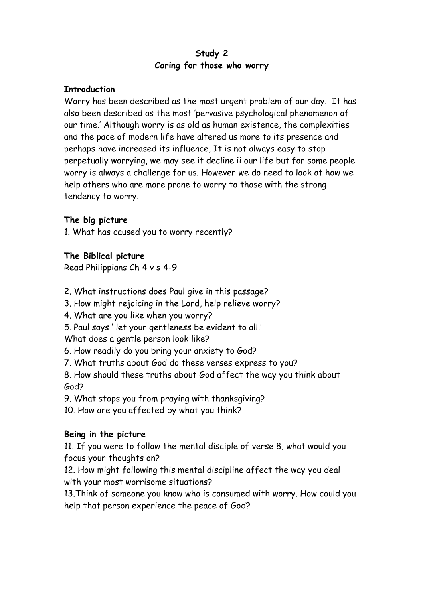## **Study 2 Caring for those who worry**

#### **Introduction**

Worry has been described as the most urgent problem of our day. It has also been described as the most 'pervasive psychological phenomenon of our time.' Although worry is as old as human existence, the complexities and the pace of modern life have altered us more to its presence and perhaps have increased its influence, It is not always easy to stop perpetually worrying, we may see it decline ii our life but for some people worry is always a challenge for us. However we do need to look at how we help others who are more prone to worry to those with the strong tendency to worry.

#### **The big picture**

1. What has caused you to worry recently?

#### **The Biblical picture**

Read Philippians Ch 4 v s 4-9

- 2. What instructions does Paul give in this passage?
- 3. How might rejoicing in the Lord, help relieve worry?
- 4. What are you like when you worry?
- 5. Paul says ' let your gentleness be evident to all.'

What does a gentle person look like?

- 6. How readily do you bring your anxiety to God?
- 7. What truths about God do these verses express to you?

8. How should these truths about God affect the way you think about God?

9. What stops you from praying with thanksgiving?

10. How are you affected by what you think?

#### **Being in the picture**

11. If you were to follow the mental disciple of verse 8, what would you focus your thoughts on?

12. How might following this mental discipline affect the way you deal with your most worrisome situations?

13.Think of someone you know who is consumed with worry. How could you help that person experience the peace of God?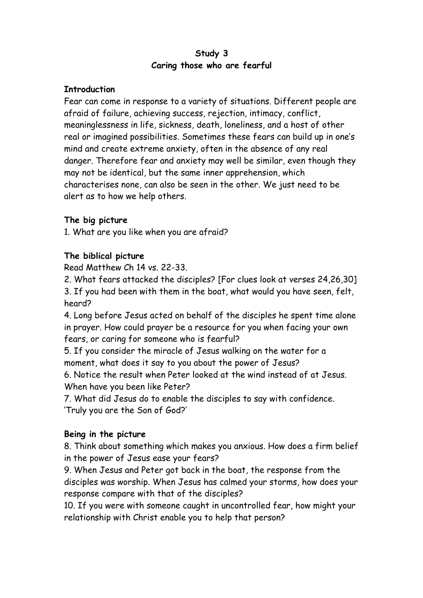# **Study 3 Caring those who are fearful**

#### **Introduction**

Fear can come in response to a variety of situations. Different people are afraid of failure, achieving success, rejection, intimacy, conflict, meaninglessness in life, sickness, death, loneliness, and a host of other real or imagined possibilities. Sometimes these fears can build up in one's mind and create extreme anxiety, often in the absence of any real danger. Therefore fear and anxiety may well be similar, even though they may not be identical, but the same inner apprehension, which characterises none, can also be seen in the other. We just need to be alert as to how we help others.

#### **The big picture**

1. What are you like when you are afraid?

#### **The biblical picture**

Read Matthew Ch 14 vs. 22-33.

2. What fears attacked the disciples? [For clues look at verses 24,26,30] 3. If you had been with them in the boat, what would you have seen, felt, heard?

4. Long before Jesus acted on behalf of the disciples he spent time alone in prayer. How could prayer be a resource for you when facing your own fears, or caring for someone who is fearful?

5. If you consider the miracle of Jesus walking on the water for a moment, what does it say to you about the power of Jesus?

6. Notice the result when Peter looked at the wind instead of at Jesus. When have you been like Peter?

7. What did Jesus do to enable the disciples to say with confidence. 'Truly you are the Son of God?'

#### **Being in the picture**

8. Think about something which makes you anxious. How does a firm belief in the power of Jesus ease your fears?

9. When Jesus and Peter got back in the boat, the response from the disciples was worship. When Jesus has calmed your storms, how does your response compare with that of the disciples?

10. If you were with someone caught in uncontrolled fear, how might your relationship with Christ enable you to help that person?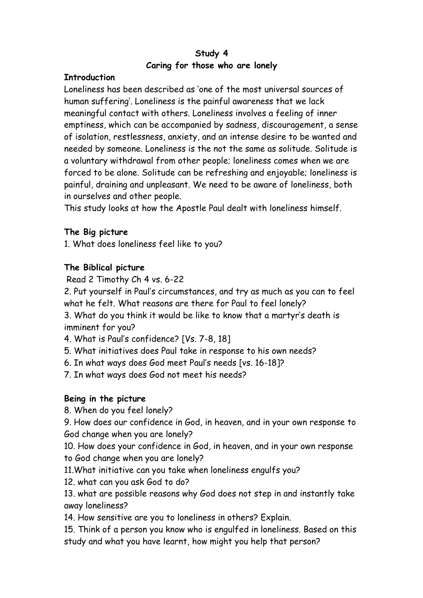# **Study 4 Caring for those who are lonely**

#### **Introduction**

Loneliness has been described as 'one of the most universal sources of human suffering'. Loneliness is the painful awareness that we lack meaningful contact with others. Loneliness involves a feeling of inner emptiness, which can be accompanied by sadness, discouragement, a sense of isolation, restlessness, anxiety, and an intense desire to be wanted and needed by someone. Loneliness is the not the same as solitude. Solitude is a voluntary withdrawal from other people; loneliness comes when we are forced to be alone. Solitude can be refreshing and enjoyable; loneliness is painful, draining and unpleasant. We need to be aware of loneliness, both in ourselves and other people.

This study looks at how the Apostle Paul dealt with loneliness himself.

# **The Big picture**

1. What does loneliness feel like to you?

# **The Biblical picture**

Read 2 Timothy Ch 4 vs. 6-22

2. Put yourself in Paul's circumstances, and try as much as you can to feel what he felt. What reasons are there for Paul to feel lonely?

3. What do you think it would be like to know that a martyr's death is imminent for you?

4. What is Paul's confidence? [Vs. 7-8, 18]

5. What initiatives does Paul take in response to his own needs?

6. In what ways does God meet Paul's needs [vs. 16-18]?

7. In what ways does God not meet his needs?

# **Being in the picture**

8. When do you feel lonely?

9. How does our confidence in God, in heaven, and in your own response to God change when you are lonely?

10. How does your confidence in God, in heaven, and in your own response to God change when you are lonely?

11.What initiative can you take when loneliness engulfs you?

12. what can you ask God to do?

13. what are possible reasons why God does not step in and instantly take away loneliness?

14. How sensitive are you to loneliness in others? Explain.

15. Think of a person you know who is engulfed in loneliness. Based on this study and what you have learnt, how might you help that person?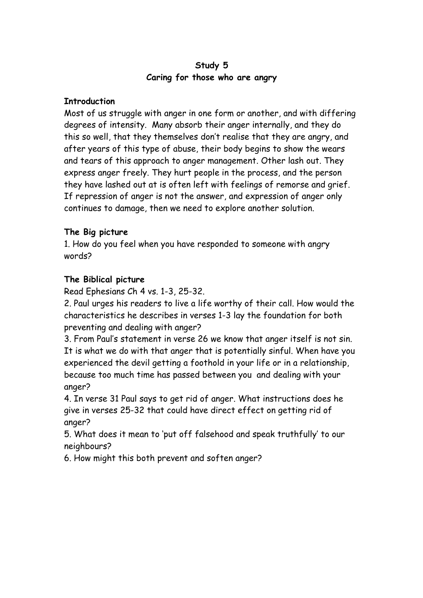# **Study 5 Caring for those who are angry**

#### **Introduction**

Most of us struggle with anger in one form or another, and with differing degrees of intensity. Many absorb their anger internally, and they do this so well, that they themselves don't realise that they are angry, and after years of this type of abuse, their body begins to show the wears and tears of this approach to anger management. Other lash out. They express anger freely. They hurt people in the process, and the person they have lashed out at is often left with feelings of remorse and grief. If repression of anger is not the answer, and expression of anger only continues to damage, then we need to explore another solution.

#### **The Big picture**

1. How do you feel when you have responded to someone with angry words?

#### **The Biblical picture**

Read Ephesians Ch 4 vs. 1-3, 25-32.

2. Paul urges his readers to live a life worthy of their call. How would the characteristics he describes in verses 1-3 lay the foundation for both preventing and dealing with anger?

3. From Paul's statement in verse 26 we know that anger itself is not sin. It is what we do with that anger that is potentially sinful. When have you experienced the devil getting a foothold in your life or in a relationship, because too much time has passed between you and dealing with your anger?

4. In verse 31 Paul says to get rid of anger. What instructions does he give in verses 25-32 that could have direct effect on getting rid of anger?

5. What does it mean to 'put off falsehood and speak truthfully' to our neighbours?

6. How might this both prevent and soften anger?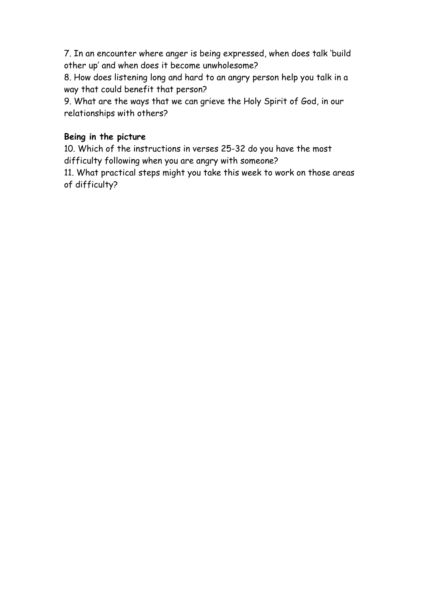7. In an encounter where anger is being expressed, when does talk 'build other up' and when does it become unwholesome?

8. How does listening long and hard to an angry person help you talk in a way that could benefit that person?

9. What are the ways that we can grieve the Holy Spirit of God, in our relationships with others?

# **Being in the picture**

10. Which of the instructions in verses 25-32 do you have the most difficulty following when you are angry with someone?

11. What practical steps might you take this week to work on those areas of difficulty?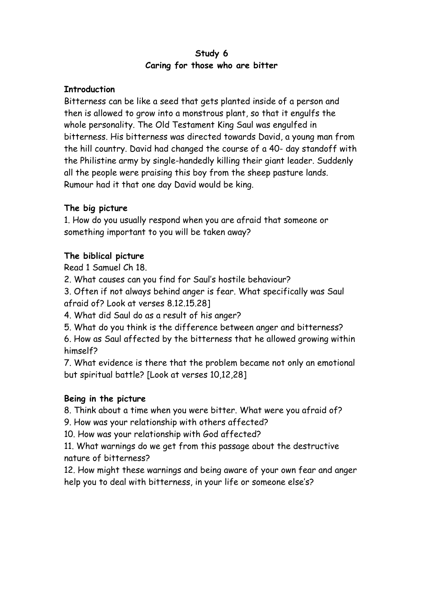# **Study 6 Caring for those who are bitter**

#### **Introduction**

Bitterness can be like a seed that gets planted inside of a person and then is allowed to grow into a monstrous plant, so that it engulfs the whole personality. The Old Testament King Saul was engulfed in bitterness. His bitterness was directed towards David, a young man from the hill country. David had changed the course of a 40- day standoff with the Philistine army by single-handedly killing their giant leader. Suddenly all the people were praising this boy from the sheep pasture lands. Rumour had it that one day David would be king.

# **The big picture**

1. How do you usually respond when you are afraid that someone or something important to you will be taken away?

# **The biblical picture**

Read 1 Samuel Ch 18.

2. What causes can you find for Saul's hostile behaviour?

3. Often if not always behind anger is fear. What specifically was Saul afraid of? Look at verses 8.12.15.28]

4. What did Saul do as a result of his anger?

5. What do you think is the difference between anger and bitterness?

6. How as Saul affected by the bitterness that he allowed growing within himself?

7. What evidence is there that the problem became not only an emotional but spiritual battle? [Look at verses 10,12,28]

# **Being in the picture**

8. Think about a time when you were bitter. What were you afraid of?

9. How was your relationship with others affected?

10. How was your relationship with God affected?

11. What warnings do we get from this passage about the destructive nature of bitterness?

12. How might these warnings and being aware of your own fear and anger help you to deal with bitterness, in your life or someone else's?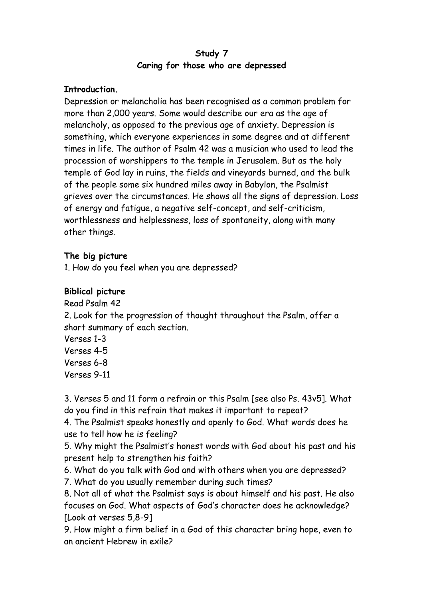## **Study 7 Caring for those who are depressed**

#### **Introduction.**

Depression or melancholia has been recognised as a common problem for more than 2,000 years. Some would describe our era as the age of melancholy, as opposed to the previous age of anxiety. Depression is something, which everyone experiences in some degree and at different times in life. The author of Psalm 42 was a musician who used to lead the procession of worshippers to the temple in Jerusalem. But as the holy temple of God lay in ruins, the fields and vineyards burned, and the bulk of the people some six hundred miles away in Babylon, the Psalmist grieves over the circumstances. He shows all the signs of depression. Loss of energy and fatigue, a negative self-concept, and self-criticism, worthlessness and helplessness, loss of spontaneity, along with many other things.

#### **The big picture**

1. How do you feel when you are depressed?

#### **Biblical picture**

Read Psalm 42

2. Look for the progression of thought throughout the Psalm, offer a short summary of each section.

Verses 1-3 Verses 4-5 Verses 6-8 Verses 9-11

3. Verses 5 and 11 form a refrain or this Psalm [see also Ps. 43v5]. What do you find in this refrain that makes it important to repeat?

4. The Psalmist speaks honestly and openly to God. What words does he use to tell how he is feeling?

5. Why might the Psalmist's honest words with God about his past and his present help to strengthen his faith?

6. What do you talk with God and with others when you are depressed?

7. What do you usually remember during such times?

8. Not all of what the Psalmist says is about himself and his past. He also focuses on God. What aspects of God's character does he acknowledge? [Look at verses 5,8-9]

9. How might a firm belief in a God of this character bring hope, even to an ancient Hebrew in exile?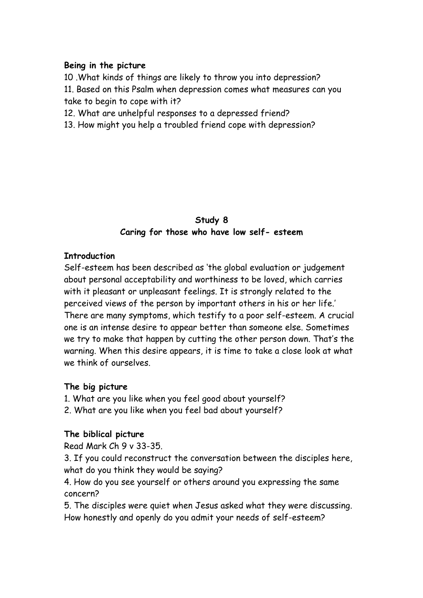#### **Being in the picture**

10 .What kinds of things are likely to throw you into depression? 11. Based on this Psalm when depression comes what measures can you take to begin to cope with it?

12. What are unhelpful responses to a depressed friend?

13. How might you help a troubled friend cope with depression?

## **Study 8 Caring for those who have low self- esteem**

#### **Introduction**

Self-esteem has been described as 'the global evaluation or judgement about personal acceptability and worthiness to be loved, which carries with it pleasant or unpleasant feelings. It is strongly related to the perceived views of the person by important others in his or her life.' There are many symptoms, which testify to a poor self-esteem. A crucial one is an intense desire to appear better than someone else. Sometimes we try to make that happen by cutting the other person down. That's the warning. When this desire appears, it is time to take a close look at what we think of ourselves.

#### **The big picture**

- 1. What are you like when you feel good about yourself?
- 2. What are you like when you feel bad about yourself?

#### **The biblical picture**

Read Mark Ch 9 v 33-35.

3. If you could reconstruct the conversation between the disciples here, what do you think they would be saying?

4. How do you see yourself or others around you expressing the same concern?

5. The disciples were quiet when Jesus asked what they were discussing. How honestly and openly do you admit your needs of self-esteem?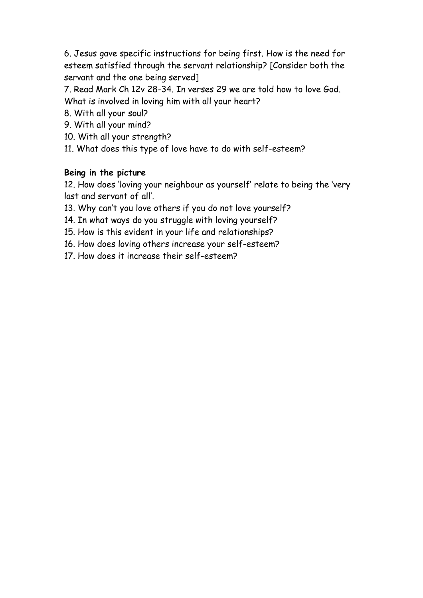6. Jesus gave specific instructions for being first. How is the need for esteem satisfied through the servant relationship? [Consider both the servant and the one being served]

7. Read Mark Ch 12v 28-34. In verses 29 we are told how to love God. What is involved in loving him with all your heart?

- 8. With all your soul?
- 9. With all your mind?
- 10. With all your strength?
- 11. What does this type of love have to do with self-esteem?

#### **Being in the picture**

12. How does 'loving your neighbour as yourself' relate to being the 'very last and servant of all'.

- 13. Why can't you love others if you do not love yourself?
- 14. In what ways do you struggle with loving yourself?
- 15. How is this evident in your life and relationships?
- 16. How does loving others increase your self-esteem?
- 17. How does it increase their self-esteem?